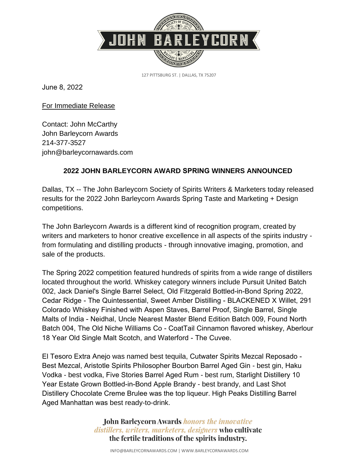

127 PITTSBURG ST. | DALLAS, TX 75207

June 8, 2022

For Immediate Release

Contact: John McCarthy John Barleycorn Awards 214-377-3527 john@barleycornawards.com

## **2022 JOHN BARLEYCORN AWARD SPRING WINNERS ANNOUNCED**

Dallas, TX -- The John Barleycorn Society of Spirits Writers & Marketers today released results for the 2022 John Barleycorn Awards Spring Taste and Marketing + Design competitions.

The John Barleycorn Awards is a different kind of recognition program, created by writers and marketers to honor creative excellence in all aspects of the spirits industry from formulating and distilling products - through innovative imaging, promotion, and sale of the products.

The Spring 2022 competition featured hundreds of spirits from a wide range of distillers located throughout the world. Whiskey category winners include Pursuit United Batch 002, Jack Daniel's Single Barrel Select, Old Fitzgerald Bottled-in-Bond Spring 2022, Cedar Ridge - The Quintessential, Sweet Amber Distilling - BLACKENED X Willet, 291 Colorado Whiskey Finished with Aspen Staves, Barrel Proof, Single Barrel, Single Malts of India - Neidhal, Uncle Nearest Master Blend Edition Batch 009, Found North Batch 004, The Old Niche Williams Co - CoatTail Cinnamon flavored whiskey, Aberlour 18 Year Old Single Malt Scotch, and Waterford - The Cuvee.

El Tesoro Extra Anejo was named best tequila, Cutwater Spirits Mezcal Reposado - Best Mezcal, Aristotle Spirits Philosopher Bourbon Barrel Aged Gin - best gin, Haku Vodka - best vodka, Five Stories Barrel Aged Rum - best rum, Starlight Distillery 10 Year Estate Grown Bottled-in-Bond Apple Brandy - best brandy, and Last Shot Distillery Chocolate Creme Brulee was the top liqueur. High Peaks Distilling Barrel Aged Manhattan was best ready-to-drink.

> **John Barleycorn Awards honors the innovative** distillers, writers, marketers, designers who cultivate the fertile traditions of the spirits industry.